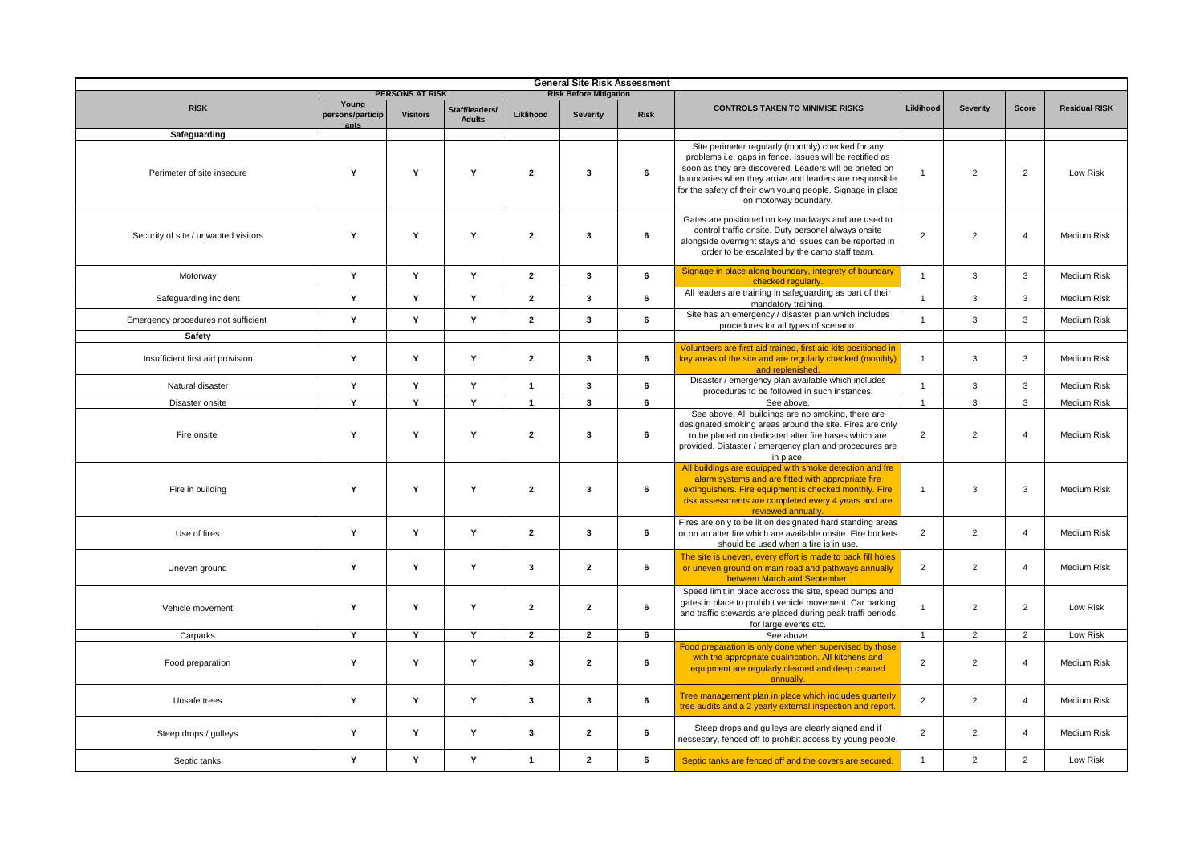| <b>General Site Risk Assessment</b>  |                                   |                        |                                 |                               |                         |             |                                                                                                                                                                                                                                                                                                                             |                |                |                |                      |
|--------------------------------------|-----------------------------------|------------------------|---------------------------------|-------------------------------|-------------------------|-------------|-----------------------------------------------------------------------------------------------------------------------------------------------------------------------------------------------------------------------------------------------------------------------------------------------------------------------------|----------------|----------------|----------------|----------------------|
|                                      |                                   | <b>PERSONS AT RISK</b> |                                 | <b>Risk Before Mitigation</b> |                         |             |                                                                                                                                                                                                                                                                                                                             |                |                |                |                      |
| <b>RISK</b>                          | Young<br>persons/particip<br>ants | <b>Visitors</b>        | Staff/leaders/<br><b>Adults</b> | Liklihood                     | <b>Severity</b>         | <b>Risk</b> | <b>CONTROLS TAKEN TO MINIMISE RISKS</b>                                                                                                                                                                                                                                                                                     | Liklihood      | Severity       | Score          | <b>Residual RISK</b> |
| Safeguarding                         |                                   |                        |                                 |                               |                         |             |                                                                                                                                                                                                                                                                                                                             |                |                |                |                      |
| Perimeter of site insecure           | Y                                 | Y                      | Y                               | $\overline{2}$                | 3                       | 6           | Site perimeter regularly (monthly) checked for any<br>problems i.e. gaps in fence. Issues will be rectified as<br>soon as they are discovered. Leaders will be briefed on<br>boundaries when they arrive and leaders are responsible<br>for the safety of their own young people. Signage in place<br>on motorway boundary. |                | $\overline{2}$ | $\overline{2}$ | Low Risk             |
| Security of site / unwanted visitors | Y                                 | Y                      | Y                               | $\overline{2}$                | $\mathbf{3}$            | 6           | Gates are positioned on key roadways and are used to<br>control traffic onsite. Duty personel always onsite<br>alongside overnight stays and issues can be reported in<br>order to be escalated by the camp staff team.                                                                                                     |                | $\overline{2}$ | $\overline{4}$ | Medium Risk          |
| Motorway                             | Y                                 | Y                      | Y                               | $\overline{2}$                | $\mathbf{3}$            | 6           | Signage in place along boundary, integrety of boundary<br>checked regularly.                                                                                                                                                                                                                                                | $\overline{1}$ | $\mathbf{3}$   | $\mathbf{3}$   | Medium Risk          |
| Safeguarding incident                | Y                                 | Y                      | Y                               | $\overline{2}$                | 3                       | 6           | All leaders are training in safeguarding as part of their<br>mandatory training.                                                                                                                                                                                                                                            |                | $\overline{3}$ | 3              | <b>Medium Risk</b>   |
| Emergency procedures not sufficient  | Y                                 | Y                      | Y                               | $\overline{2}$                | $\mathbf{3}$            | 6           | Site has an emergency / disaster plan which includes<br>procedures for all types of scenario.                                                                                                                                                                                                                               | $\overline{1}$ | 3              | $\overline{3}$ | <b>Medium Risk</b>   |
| Safety                               |                                   |                        |                                 |                               |                         |             |                                                                                                                                                                                                                                                                                                                             |                |                |                |                      |
| Insufficient first aid provision     | Y                                 | Y                      | Y                               | $\overline{2}$                | $\mathbf{3}$            | 6           | Volunteers are first aid trained, first aid kits positioned in<br>key areas of the site and are regularly checked (monthly)<br>and replenished.                                                                                                                                                                             | $\mathbf{1}$   | 3              | 3              | <b>Medium Risk</b>   |
| Natural disaster                     | Y                                 | Y                      | Y                               | $\overline{1}$                | $\mathbf{3}$            | 6           | Disaster / emergency plan available which includes<br>procedures to be followed in such instances.                                                                                                                                                                                                                          |                | $\mathbf{3}$   | $\mathbf{3}$   | Medium Risk          |
| Disaster onsite                      | Y                                 | Y                      | Y                               | $\mathbf{1}$                  | $\overline{\mathbf{3}}$ | 6           | See above.                                                                                                                                                                                                                                                                                                                  | $\overline{1}$ | $\overline{3}$ | $\mathbf{3}$   | Medium Risk          |
| Fire onsite                          | Y                                 | Y                      | Y                               | $\overline{2}$                | $\mathbf{3}$            | 6           | See above. All buildings are no smoking, there are<br>designated smoking areas around the site. Fires are only<br>to be placed on dedicated alter fire bases which are<br>provided. Distaster / emergency plan and procedures are<br>in place.                                                                              |                | 2              | $\overline{4}$ | <b>Medium Risk</b>   |
| Fire in building                     | Y                                 | Y                      | Y                               | $\overline{2}$                | $\mathbf{3}$            | 6           | All buildings are equipped with smoke detection and fre<br>alarm systems and are fitted with appropriate fire<br>extinguishers. Fire equipment is checked monthly. Fire<br>risk assessments are completed every 4 years and are<br>reviewed annually.                                                                       |                | 3              | 3              | <b>Medium Risk</b>   |
| Use of fires                         | Y                                 | Y                      | Y                               | $\overline{2}$                | $\overline{\mathbf{3}}$ | 6           | Fires are only to be lit on designated hard standing areas<br>or on an alter fire which are available onsite. Fire buckets<br>should be used when a fire is in use.                                                                                                                                                         |                | 2              | $\Delta$       | <b>Medium Risk</b>   |
| Uneven ground                        | Y                                 | Y                      | Y                               | $\mathbf{3}$                  | $\overline{2}$          | 6           | The site is uneven, every effort is made to back fill holes<br>or uneven ground on main road and pathways annually<br>between March and September.                                                                                                                                                                          | $\overline{2}$ | $\overline{2}$ | $\overline{4}$ | Medium Risk          |
| Vehicle movement                     | Y                                 | Y                      | Y                               | $\overline{2}$                | $\overline{2}$          | 6           | Speed limit in place accross the site, speed bumps and<br>gates in place to prohibit vehicle movement. Car parking<br>and traffic stewards are placed during peak traffi periods<br>for large events etc.                                                                                                                   |                | $\overline{2}$ | 2              | Low Risk             |
| Carparks                             | Y                                 | Y                      | Y                               | $\overline{2}$                | $\overline{2}$          | 6           | See above.                                                                                                                                                                                                                                                                                                                  | $\overline{1}$ | $\overline{2}$ | $\overline{2}$ | Low Risk             |
| Food preparation                     | Y                                 | Y                      | Y                               | $\mathbf{3}$                  | $\overline{2}$          | 6           | Food preparation is only done when supervised by those<br>with the appropriate qualification. All kitchens and<br>equipment are regularly cleaned and deep cleaned<br>annually                                                                                                                                              |                | $\overline{2}$ | $\overline{4}$ | Medium Risk          |
| Unsafe trees                         | Y                                 | Y                      | Y                               | $\mathbf{3}$                  | 3                       | 6           | Tree management plan in place which includes quarterly<br>tree audits and a 2 yearly external inspection and report                                                                                                                                                                                                         | 2              | $\overline{2}$ | $\overline{4}$ | <b>Medium Risk</b>   |
| Steep drops / gulleys                | Y                                 | Y                      | Y                               | $\mathbf{3}$                  | $\overline{2}$          | 6           | Steep drops and gulleys are clearly signed and if<br>nessesary, fenced off to prohibit access by young people.                                                                                                                                                                                                              | $\overline{2}$ | $\overline{2}$ | $\overline{4}$ | <b>Medium Risk</b>   |
| Septic tanks                         | Y                                 | Y                      | Y                               | $\mathbf{1}$                  | $\mathbf{2}$            | 6           | Septic tanks are fenced off and the covers are secured.                                                                                                                                                                                                                                                                     | $\overline{1}$ | $\overline{2}$ | $\overline{2}$ | Low Risk             |